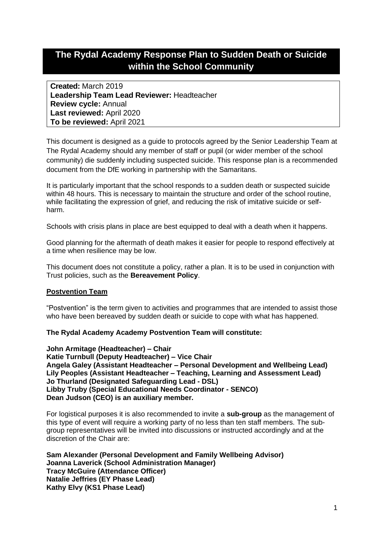# **The Rydal Academy Response Plan to Sudden Death or Suicide within the School Community**

**Created:** March 2019 **Leadership Team Lead Reviewer:** Headteacher **Review cycle:** Annual **Last reviewed:** April 2020 **To be reviewed:** April 2021

This document is designed as a guide to protocols agreed by the Senior Leadership Team at The Rydal Academy should any member of staff or pupil (or wider member of the school community) die suddenly including suspected suicide. This response plan is a recommended document from the DfE working in partnership with the Samaritans.

It is particularly important that the school responds to a sudden death or suspected suicide within 48 hours. This is necessary to maintain the structure and order of the school routine, while facilitating the expression of grief, and reducing the risk of imitative suicide or selfharm.

Schools with crisis plans in place are best equipped to deal with a death when it happens.

Good planning for the aftermath of death makes it easier for people to respond effectively at a time when resilience may be low.

This document does not constitute a policy, rather a plan. It is to be used in conjunction with Trust policies, such as the **Bereavement Policy**.

# **Postvention Team**

"Postvention" is the term given to activities and programmes that are intended to assist those who have been bereaved by sudden death or suicide to cope with what has happened.

# **The Rydal Academy Academy Postvention Team will constitute:**

**John Armitage (Headteacher) – Chair Katie Turnbull (Deputy Headteacher) – Vice Chair Angela Galey (Assistant Headteacher – Personal Development and Wellbeing Lead) Lily Peoples (Assistant Headteacher – Teaching, Learning and Assessment Lead) Jo Thurland (Designated Safeguarding Lead - DSL) Libby Truby (Special Educational Needs Coordinator - SENCO) Dean Judson (CEO) is an auxiliary member.** 

For logistical purposes it is also recommended to invite a **sub-group** as the management of this type of event will require a working party of no less than ten staff members. The subgroup representatives will be invited into discussions or instructed accordingly and at the discretion of the Chair are:

**Sam Alexander (Personal Development and Family Wellbeing Advisor) Joanna Laverick (School Administration Manager) Tracy McGuire (Attendance Officer) Natalie Jeffries (EY Phase Lead) Kathy Elvy (KS1 Phase Lead)**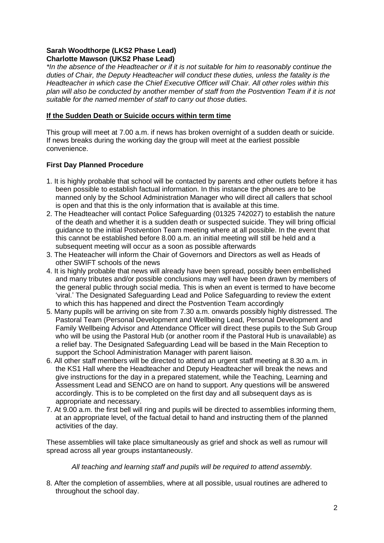# **Sarah Woodthorpe (LKS2 Phase Lead) Charlotte Mawson (UKS2 Phase Lead)**

*\*In the absence of the Headteacher or if it is not suitable for him to reasonably continue the duties of Chair, the Deputy Headteacher will conduct these duties, unless the fatality is the Headteacher in which case the Chief Executive Officer will Chair. All other roles within this plan will also be conducted by another member of staff from the Postvention Team if it is not suitable for the named member of staff to carry out those duties.*

# **If the Sudden Death or Suicide occurs within term time**

This group will meet at 7.00 a.m. if news has broken overnight of a sudden death or suicide. If news breaks during the working day the group will meet at the earliest possible convenience.

# **First Day Planned Procedure**

- 1. It is highly probable that school will be contacted by parents and other outlets before it has been possible to establish factual information. In this instance the phones are to be manned only by the School Administration Manager who will direct all callers that school is open and that this is the only information that is available at this time.
- 2. The Headteacher will contact Police Safeguarding (01325 742027) to establish the nature of the death and whether it is a sudden death or suspected suicide. They will bring official guidance to the initial Postvention Team meeting where at all possible. In the event that this cannot be established before 8.00 a.m. an initial meeting will still be held and a subsequent meeting will occur as a soon as possible afterwards
- 3. The Heateacher will inform the Chair of Governors and Directors as well as Heads of other SWIFT schools of the news
- 4. It is highly probable that news will already have been spread, possibly been embellished and many tributes and/or possible conclusions may well have been drawn by members of the general public through social media. This is when an event is termed to have become 'viral.' The Designated Safeguarding Lead and Police Safeguarding to review the extent to which this has happened and direct the Postvention Team accordingly
- 5. Many pupils will be arriving on site from 7.30 a.m. onwards possibly highly distressed. The Pastoral Team (Personal Development and Wellbeing Lead, Personal Development and Family Wellbeing Advisor and Attendance Officer will direct these pupils to the Sub Group who will be using the Pastoral Hub (or another room if the Pastoral Hub is unavailable) as a relief bay. The Designated Safeguarding Lead will be based in the Main Reception to support the School Administration Manager with parent liaison.
- 6. All other staff members will be directed to attend an urgent staff meeting at 8.30 a.m. in the KS1 Hall where the Headteacher and Deputy Headteacher will break the news and give instructions for the day in a prepared statement, while the Teaching, Learning and Assessment Lead and SENCO are on hand to support. Any questions will be answered accordingly. This is to be completed on the first day and all subsequent days as is appropriate and necessary.
- 7. At 9.00 a.m. the first bell will ring and pupils will be directed to assemblies informing them, at an appropriate level, of the factual detail to hand and instructing them of the planned activities of the day.

These assemblies will take place simultaneously as grief and shock as well as rumour will spread across all year groups instantaneously.

*All teaching and learning staff and pupils will be required to attend assembly.*

8. After the completion of assemblies, where at all possible, usual routines are adhered to throughout the school day.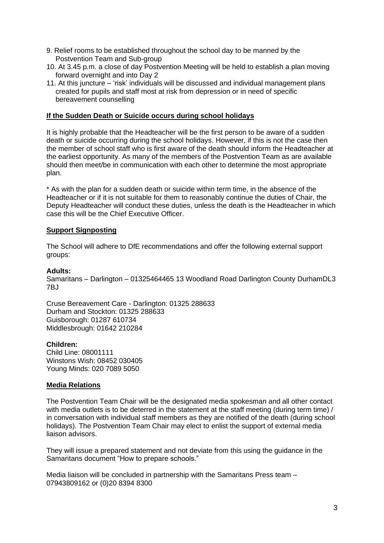- 9. Relief rooms to be established throughout the school day to be manned by the Postvention Team and Sub-group
- 10. At 3.45 p.m. a close of day Postvention Meeting will be held to establish a plan moving forward overnight and into Day 2
- 11. At this juncture 'risk' individuals will be discussed and individual management plans created for pupils and staff most at risk from depression or in need of specific bereavement counselling

#### **If the Sudden Death or Suicide occurs during school holidays**

It is highly probable that the Headteacher will be the first person to be aware of a sudden death or suicide occurring during the school holidays. However, if this is not the case then the member of school staff who is first aware of the death should inform the Headteacher at the earliest opportunity. As many of the members of the Postvention Team as are available should then meet/be in communication with each other to determine the most appropriate plan.

\* As with the plan for a sudden death or suicide within term time, in the absence of the Headteacher or if it is not suitable for them to reasonably continue the duties of Chair, the Deputy Headteacher will conduct these duties, unless the death is the Headteacher in which case this will be the Chief Executive Officer.

# **Support Signposting**

The School will adhere to DfE recommendations and offer the following external support groups:

#### **Adults:**

Samaritans – Darlington – 01325464465 13 Woodland Road Darlington County DurhamDL3  $7B<sub>1</sub>$ 

Cruse Bereavement Care - Darlington: 01325 288633 Durham and Stockton: 01325 288633 Guisborough: 01287 610734 Middlesbrough: 01642 210284

# **Children:**

Child Line: 08001111 Winstons Wish: 08452 030405 Young Minds: 020 7089 5050

#### **Media Relations**

The Postvention Team Chair will be the designated media spokesman and all other contact with media outlets is to be deterred in the statement at the staff meeting (during term time) / in conversation with individual staff members as they are notified of the death (during school holidays). The Postvention Team Chair may elect to enlist the support of external media liaison advisors.

They will issue a prepared statement and not deviate from this using the guidance in the Samaritans document "How to prepare schools."

Media liaison will be concluded in partnership with the Samaritans Press team – 07943809162 or (0)20 8394 8300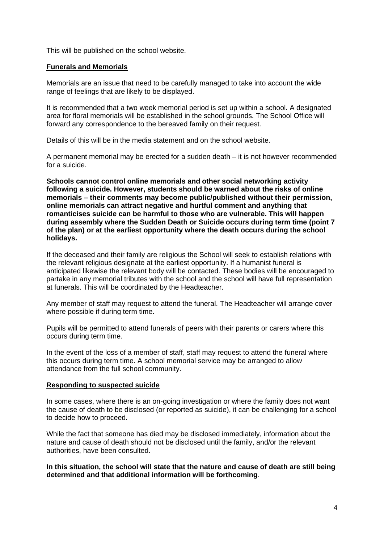This will be published on the school website.

#### **Funerals and Memorials**

Memorials are an issue that need to be carefully managed to take into account the wide range of feelings that are likely to be displayed.

It is recommended that a two week memorial period is set up within a school. A designated area for floral memorials will be established in the school grounds. The School Office will forward any correspondence to the bereaved family on their request.

Details of this will be in the media statement and on the school website.

A permanent memorial may be erected for a sudden death – it is not however recommended for a suicide.

**Schools cannot control online memorials and other social networking activity following a suicide. However, students should be warned about the risks of online memorials – their comments may become public/published without their permission, online memorials can attract negative and hurtful comment and anything that romanticises suicide can be harmful to those who are vulnerable. This will happen during assembly where the Sudden Death or Suicide occurs during term time (point 7 of the plan) or at the earliest opportunity where the death occurs during the school holidays.**

If the deceased and their family are religious the School will seek to establish relations with the relevant religious designate at the earliest opportunity. If a humanist funeral is anticipated likewise the relevant body will be contacted. These bodies will be encouraged to partake in any memorial tributes with the school and the school will have full representation at funerals. This will be coordinated by the Headteacher.

Any member of staff may request to attend the funeral. The Headteacher will arrange cover where possible if during term time.

Pupils will be permitted to attend funerals of peers with their parents or carers where this occurs during term time.

In the event of the loss of a member of staff, staff may request to attend the funeral where this occurs during term time. A school memorial service may be arranged to allow attendance from the full school community.

#### **Responding to suspected suicide**

In some cases, where there is an on-going investigation or where the family does not want the cause of death to be disclosed (or reported as suicide), it can be challenging for a school to decide how to proceed.

While the fact that someone has died may be disclosed immediately, information about the nature and cause of death should not be disclosed until the family, and/or the relevant authorities, have been consulted.

**In this situation, the school will state that the nature and cause of death are still being determined and that additional information will be forthcoming**.